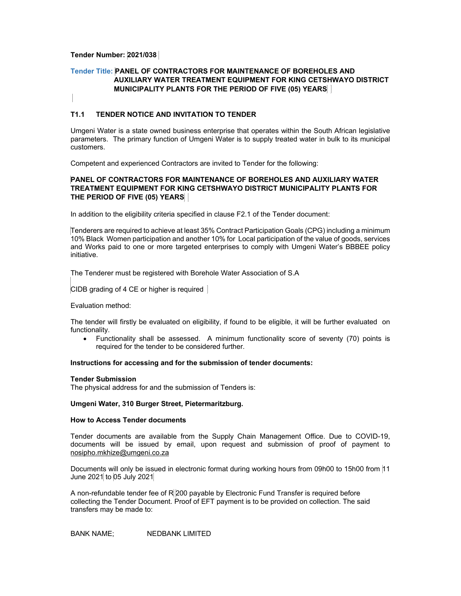## **Tender Number: 2021/038**

# **Tender Title: PANEL OF CONTRACTORS FOR MAINTENANCE OF BOREHOLES AND AUXILIARY WATER TREATMENT EQUIPMENT FOR KING CETSHWAYO DISTRICT MUNICIPALITY PLANTS FOR THE PERIOD OF FIVE (05) YEARS**

## **T1.1 TENDER NOTICE AND INVITATION TO TENDER**

Umgeni Water is a state owned business enterprise that operates within the South African legislative parameters. The primary function of Umgeni Water is to supply treated water in bulk to its municipal customers.

Competent and experienced Contractors are invited to Tender for the following:

# **PANEL OF CONTRACTORS FOR MAINTENANCE OF BOREHOLES AND AUXILIARY WATER TREATMENT EQUIPMENT FOR KING CETSHWAYO DISTRICT MUNICIPALITY PLANTS FOR THE PERIOD OF FIVE (05) YEARS**

In addition to the eligibility criteria specified in clause F2.1 of the Tender document:

Tenderers are required to achieve at least 35% Contract Participation Goals (CPG) including a minimum 10% Black Women participation and another 10% for Local participation of the value of goods, services and Works paid to one or more targeted enterprises to comply with Umgeni Water's BBBEE policy initiative.

The Tenderer must be registered with Borehole Water Association of S.A

CIDB grading of 4 CE or higher is required

Evaluation method:

The tender will firstly be evaluated on eligibility, if found to be eligible, it will be further evaluated on functionality.

 Functionality shall be assessed. A minimum functionality score of seventy (70) points is required for the tender to be considered further.

#### **Instructions for accessing and for the submission of tender documents:**

#### **Tender Submission**

The physical address for and the submission of Tenders is:

#### **Umgeni Water, 310 Burger Street, Pietermaritzburg.**

### **How to Access Tender documents**

Tender documents are available from the Supply Chain Management Office. Due to COVID-19, documents will be issued by email, upon request and submission of proof of payment to nosipho.mkhize@umgeni.co.za

Documents will only be issued in electronic format during working hours from 09h00 to 15h00 from 11 June 2021 to 05 July 2021

A non-refundable tender fee of R 200 payable by Electronic Fund Transfer is required before collecting the Tender Document. Proof of EFT payment is to be provided on collection. The said transfers may be made to:

BANK NAME; NEDBANK LIMITED